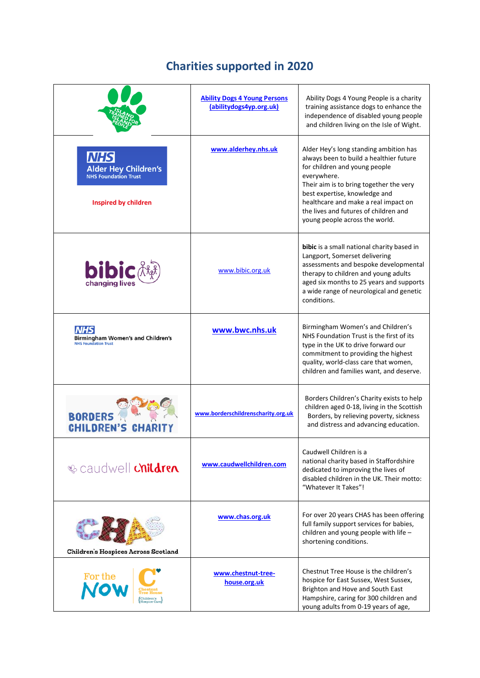## **Charities supported in 2020**

|                                                                                                         | <b>Ability Dogs 4 Young Persons</b><br>(abilitydogs4yp.org.uk) | Ability Dogs 4 Young People is a charity<br>training assistance dogs to enhance the<br>independence of disabled young people<br>and children living on the Isle of Wight.                                                                                                                                                        |
|---------------------------------------------------------------------------------------------------------|----------------------------------------------------------------|----------------------------------------------------------------------------------------------------------------------------------------------------------------------------------------------------------------------------------------------------------------------------------------------------------------------------------|
| <b>NHS</b><br><b>Alder Hey Children's</b><br><b>NHS Foundation Trust</b><br><b>Inspired by children</b> | www.alderhey.nhs.uk                                            | Alder Hey's long standing ambition has<br>always been to build a healthier future<br>for children and young people<br>everywhere.<br>Their aim is to bring together the very<br>best expertise, knowledge and<br>healthcare and make a real impact on<br>the lives and futures of children and<br>young people across the world. |
| <b>bibic</b><br>changing lives                                                                          | www.bibic.org.uk                                               | bibic is a small national charity based in<br>Langport, Somerset delivering<br>assessments and bespoke developmental<br>therapy to children and young adults<br>aged six months to 25 years and supports<br>a wide range of neurological and genetic<br>conditions.                                                              |
| <b>Birmingham Women's and Children's</b><br><b>NHS Foundation Trust</b>                                 | www.bwc.nhs.uk                                                 | Birmingham Women's and Children's<br>NHS Foundation Trust is the first of its<br>type in the UK to drive forward our<br>commitment to providing the highest<br>quality, world-class care that women,<br>children and families want, and deserve.                                                                                 |
| <b>BORDERS</b><br><b>CHILDREN'S CHARD</b>                                                               | www.borderschildrenscharity.org.uk                             | Borders Children's Charity exists to help<br>children aged 0-18, living in the Scottish<br>Borders, by relieving poverty, sickness<br>and distress and advancing education.                                                                                                                                                      |
| <b>&amp; caudwell children</b>                                                                          | www.caudwellchildren.com                                       | Caudwell Children is a<br>national charity based in Staffordshire<br>dedicated to improving the lives of<br>disabled children in the UK. Their motto:<br>"Whatever It Takes"!                                                                                                                                                    |
| Children's Hospices Across Scotland                                                                     | www.chas.org.uk                                                | For over 20 years CHAS has been offering<br>full family support services for babies,<br>children and young people with life -<br>shortening conditions.                                                                                                                                                                          |
| <b>For the</b>                                                                                          | www.chestnut-tree-<br>house.org.uk                             | Chestnut Tree House is the children's<br>hospice for East Sussex, West Sussex,<br>Brighton and Hove and South East<br>Hampshire, caring for 300 children and<br>young adults from 0-19 years of age,                                                                                                                             |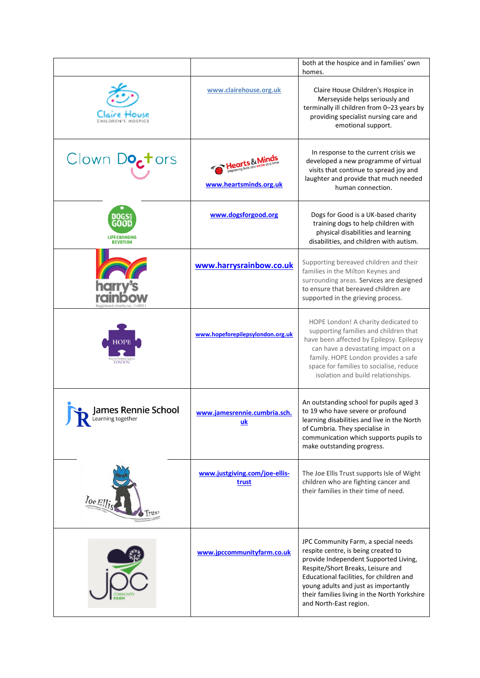|                                          |                                           | both at the hospice and in families' own<br>homes.                                                                                                                                                                                                                                                                     |
|------------------------------------------|-------------------------------------------|------------------------------------------------------------------------------------------------------------------------------------------------------------------------------------------------------------------------------------------------------------------------------------------------------------------------|
|                                          | www.clairehouse.org.uk                    | Claire House Children's Hospice in<br>Merseyside helps seriously and<br>terminally ill children from 0-23 years by<br>providing specialist nursing care and<br>emotional support.                                                                                                                                      |
| Clown Do <sub>c</sub> tors               | ts&Mi<br>www.heartsminds.org.uk           | In response to the current crisis we<br>developed a new programme of virtual<br>visits that continue to spread joy and<br>laughter and provide that much needed<br>human connection.                                                                                                                                   |
| <b>LIFE CHANGING</b><br><b>DEVOTION</b>  | www.dogsforgood.org                       | Dogs for Good is a UK-based charity<br>training dogs to help children with<br>physical disabilities and learning<br>disabilities, and children with autism.                                                                                                                                                            |
|                                          | www.harrysrainbow.co.uk                   | Supporting bereaved children and their<br>families in the Milton Keynes and<br>surrounding areas. Services are designed<br>to ensure that bereaved children are<br>supported in the grieving process.                                                                                                                  |
| <b>LONDON</b>                            | www.hopeforepilepsylondon.org.uk          | HOPE London! A charity dedicated to<br>supporting families and children that<br>have been affected by Epilepsy. Epilepsy<br>can have a devastating impact on a<br>family. HOPE London provides a safe<br>space for families to socialise, reduce<br>isolation and build relationships.                                 |
| James Rennie School<br>Learning together | www.jamesrennie.cumbria.sch.<br><u>uk</u> | An outstanding school for pupils aged 3<br>to 19 who have severe or profound<br>learning disabilities and live in the North<br>of Cumbria. They specialise in<br>communication which supports pupils to<br>make outstanding progress.                                                                                  |
| $0eE$ ]].                                | www.justgiving.com/joe-ellis-<br>trust    | The Joe Ellis Trust supports Isle of Wight<br>children who are fighting cancer and<br>their families in their time of need.                                                                                                                                                                                            |
|                                          | www.jpccommunityfarm.co.uk                | JPC Community Farm, a special needs<br>respite centre, is being created to<br>provide Independent Supported Living,<br>Respite/Short Breaks, Leisure and<br>Educational facilities, for children and<br>young adults and just as importantly<br>their families living in the North Yorkshire<br>and North-East region. |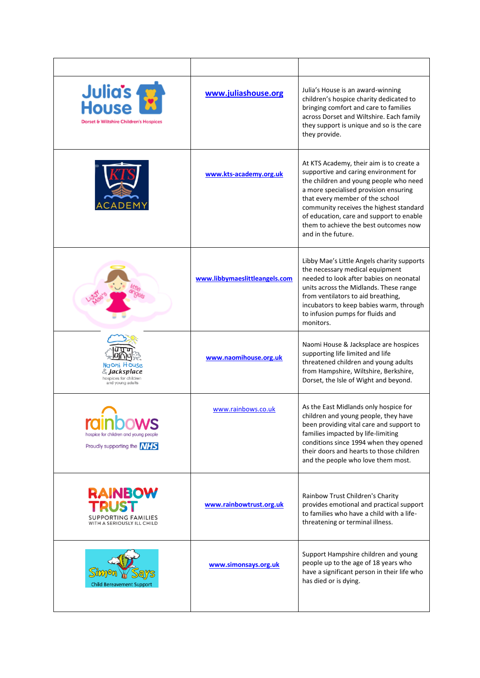| Julia's<br>House<br>Dorset & Wiltshire Children's Hospices                                 | www.juliashouse.org           | Julia's House is an award-winning<br>children's hospice charity dedicated to<br>bringing comfort and care to families<br>across Dorset and Wiltshire. Each family<br>they support is unique and so is the care<br>they provide.                                                                                                                               |
|--------------------------------------------------------------------------------------------|-------------------------------|---------------------------------------------------------------------------------------------------------------------------------------------------------------------------------------------------------------------------------------------------------------------------------------------------------------------------------------------------------------|
|                                                                                            | www.kts-academy.org.uk        | At KTS Academy, their aim is to create a<br>supportive and caring environment for<br>the children and young people who need<br>a more specialised provision ensuring<br>that every member of the school<br>community receives the highest standard<br>of education, care and support to enable<br>them to achieve the best outcomes now<br>and in the future. |
|                                                                                            | www.libbymaeslittleangels.com | Libby Mae's Little Angels charity supports<br>the necessary medical equipment<br>needed to look after babies on neonatal<br>units across the Midlands. These range<br>from ventilators to aid breathing,<br>incubators to keep babies warm, through<br>to infusion pumps for fluids and<br>monitors.                                                          |
| Naomi House<br>& Jacksplace<br>hospices for children<br>and young adults                   | www.naomihouse.org.uk         | Naomi House & Jacksplace are hospices<br>supporting life limited and life<br>threatened children and young adults<br>from Hampshire, Wiltshire, Berkshire,<br>Dorset, the Isle of Wight and beyond.                                                                                                                                                           |
| hospice for children and young people<br>Proudly supporting the <b>NHS</b>                 | www.rainbows.co.uk            | As the East Midlands only hospice for<br>children and young people, they have<br>been providing vital care and support to<br>families impacted by life-limiting<br>conditions since 1994 when they opened<br>their doors and hearts to those children<br>and the people who love them most.                                                                   |
| <b>RAINBOW</b><br><b>TRUST</b><br><b>SUPPORTING FAMILIES</b><br>WITH A SERIOUSLY ILL CHILD | www.rainbowtrust.org.uk       | Rainbow Trust Children's Charity<br>provides emotional and practical support<br>to families who have a child with a life-<br>threatening or terminal illness.                                                                                                                                                                                                 |
| <b>Child Bereavement Suppor</b>                                                            | www.simonsays.org.uk          | Support Hampshire children and young<br>people up to the age of 18 years who<br>have a significant person in their life who<br>has died or is dying.                                                                                                                                                                                                          |